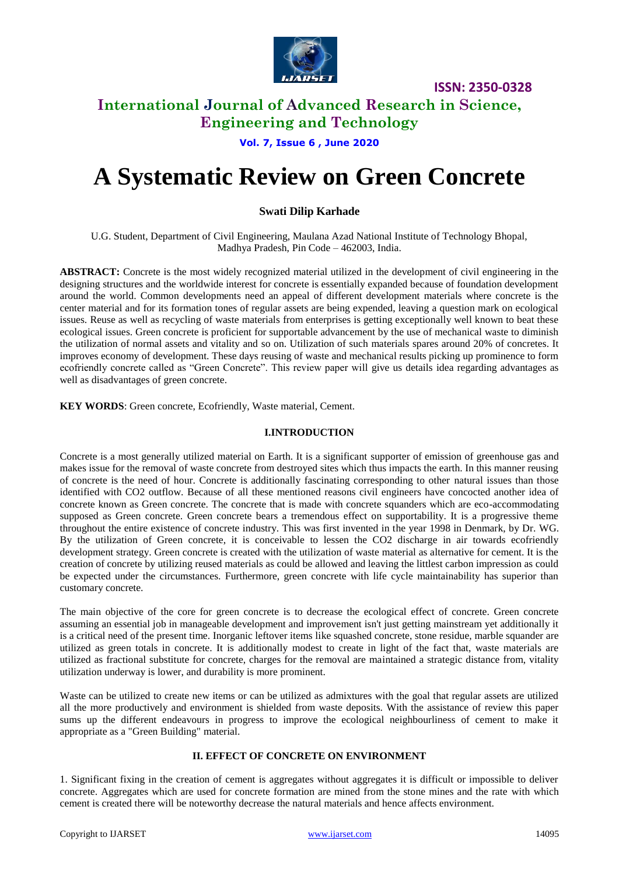

**ISSN: 2350-0328**

# **International Journal of Advanced Research in Science, Engineering and Technology**

## **Vol. 7, Issue 6 , June 2020**

# **A Systematic Review on Green Concrete**

# **Swati Dilip Karhade**

U.G. Student, Department of Civil Engineering, Maulana Azad National Institute of Technology Bhopal, Madhya Pradesh, Pin Code – 462003, India.

**ABSTRACT:** Concrete is the most widely recognized material utilized in the development of civil engineering in the designing structures and the worldwide interest for concrete is essentially expanded because of foundation development around the world. Common developments need an appeal of different development materials where concrete is the center material and for its formation tones of regular assets are being expended, leaving a question mark on ecological issues. Reuse as well as recycling of waste materials from enterprises is getting exceptionally well known to beat these ecological issues. Green concrete is proficient for supportable advancement by the use of mechanical waste to diminish the utilization of normal assets and vitality and so on. Utilization of such materials spares around 20% of concretes. It improves economy of development. These days reusing of waste and mechanical results picking up prominence to form ecofriendly concrete called as "Green Concrete". This review paper will give us details idea regarding advantages as well as disadvantages of green concrete.

**KEY WORDS**: Green concrete, Ecofriendly, Waste material, Cement.

#### **I.INTRODUCTION**

Concrete is a most generally utilized material on Earth. It is a significant supporter of emission of greenhouse gas and makes issue for the removal of waste concrete from destroyed sites which thus impacts the earth. In this manner reusing of concrete is the need of hour. Concrete is additionally fascinating corresponding to other natural issues than those identified with CO2 outflow. Because of all these mentioned reasons civil engineers have concocted another idea of concrete known as Green concrete. The concrete that is made with concrete squanders which are eco-accommodating supposed as Green concrete. Green concrete bears a tremendous effect on supportability. It is a progressive theme throughout the entire existence of concrete industry. This was first invented in the year 1998 in Denmark, by Dr. WG. By the utilization of Green concrete, it is conceivable to lessen the CO2 discharge in air towards ecofriendly development strategy. Green concrete is created with the utilization of waste material as alternative for cement. It is the creation of concrete by utilizing reused materials as could be allowed and leaving the littlest carbon impression as could be expected under the circumstances. Furthermore, green concrete with life cycle maintainability has superior than customary concrete.

The main objective of the core for green concrete is to decrease the ecological effect of concrete. Green concrete assuming an essential job in manageable development and improvement isn't just getting mainstream yet additionally it is a critical need of the present time. Inorganic leftover items like squashed concrete, stone residue, marble squander are utilized as green totals in concrete. It is additionally modest to create in light of the fact that, waste materials are utilized as fractional substitute for concrete, charges for the removal are maintained a strategic distance from, vitality utilization underway is lower, and durability is more prominent.

Waste can be utilized to create new items or can be utilized as admixtures with the goal that regular assets are utilized all the more productively and environment is shielded from waste deposits. With the assistance of review this paper sums up the different endeavours in progress to improve the ecological neighbourliness of cement to make it appropriate as a "Green Building" material.

#### **II. EFFECT OF CONCRETE ON ENVIRONMENT**

1. Significant fixing in the creation of cement is aggregates without aggregates it is difficult or impossible to deliver concrete. Aggregates which are used for concrete formation are mined from the stone mines and the rate with which cement is created there will be noteworthy decrease the natural materials and hence affects environment.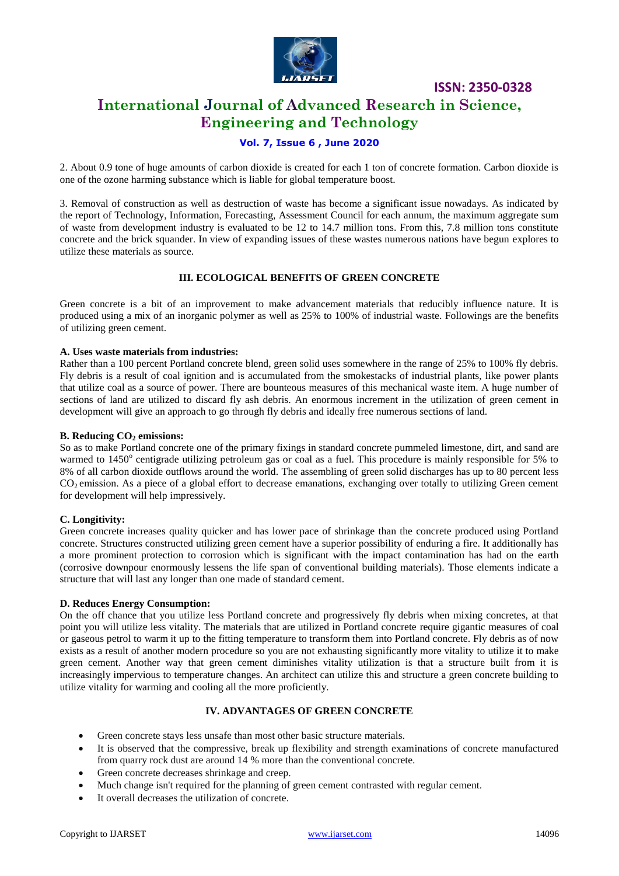

**ISSN: 2350-0328**

# **International Journal of Advanced Research in Science, Engineering and Technology**

## **Vol. 7, Issue 6 , June 2020**

2. About 0.9 tone of huge amounts of carbon dioxide is created for each 1 ton of concrete formation. Carbon dioxide is one of the ozone harming substance which is liable for global temperature boost.

3. Removal of construction as well as destruction of waste has become a significant issue nowadays. As indicated by the report of Technology, Information, Forecasting, Assessment Council for each annum, the maximum aggregate sum of waste from development industry is evaluated to be 12 to 14.7 million tons. From this, 7.8 million tons constitute concrete and the brick squander. In view of expanding issues of these wastes numerous nations have begun explores to utilize these materials as source.

#### **III. ECOLOGICAL BENEFITS OF GREEN CONCRETE**

Green concrete is a bit of an improvement to make advancement materials that reducibly influence nature. It is produced using a mix of an inorganic polymer as well as 25% to 100% of industrial waste. Followings are the benefits of utilizing green cement.

#### **A. Uses waste materials from industries:**

Rather than a 100 percent Portland concrete blend, green solid uses somewhere in the range of 25% to 100% fly debris. Fly debris is a result of coal ignition and is accumulated from the smokestacks of industrial plants, like power plants that utilize coal as a source of power. There are bounteous measures of this mechanical waste item. A huge number of sections of land are utilized to discard fly ash debris. An enormous increment in the utilization of green cement in development will give an approach to go through fly debris and ideally free numerous sections of land.

#### **B. Reducing CO<sup>2</sup> emissions:**

So as to make Portland concrete one of the primary fixings in standard concrete pummeled limestone, dirt, and sand are warmed to 1450° centigrade utilizing petroleum gas or coal as a fuel. This procedure is mainly responsible for 5% to 8% of all carbon dioxide outflows around the world. The assembling of green solid discharges has up to 80 percent less  $CO<sub>2</sub>$  emission. As a piece of a global effort to decrease emanations, exchanging over totally to utilizing Green cement for development will help impressively.

#### **C. Longitivity:**

Green concrete increases quality quicker and has lower pace of shrinkage than the concrete produced using Portland concrete. Structures constructed utilizing green cement have a superior possibility of enduring a fire. It additionally has a more prominent protection to corrosion which is significant with the impact contamination has had on the earth (corrosive downpour enormously lessens the life span of conventional building materials). Those elements indicate a structure that will last any longer than one made of standard cement.

#### **D. Reduces Energy Consumption:**

On the off chance that you utilize less Portland concrete and progressively fly debris when mixing concretes, at that point you will utilize less vitality. The materials that are utilized in Portland concrete require gigantic measures of coal or gaseous petrol to warm it up to the fitting temperature to transform them into Portland concrete. Fly debris as of now exists as a result of another modern procedure so you are not exhausting significantly more vitality to utilize it to make green cement. Another way that green cement diminishes vitality utilization is that a structure built from it is increasingly impervious to temperature changes. An architect can utilize this and structure a green concrete building to utilize vitality for warming and cooling all the more proficiently.

## **IV. ADVANTAGES OF GREEN CONCRETE**

- Green concrete stays less unsafe than most other basic structure materials.
- It is observed that the compressive, break up flexibility and strength examinations of concrete manufactured from quarry rock dust are around 14 % more than the conventional concrete.
- Green concrete decreases shrinkage and creep.
- Much change isn't required for the planning of green cement contrasted with regular cement.
- It overall decreases the utilization of concrete.